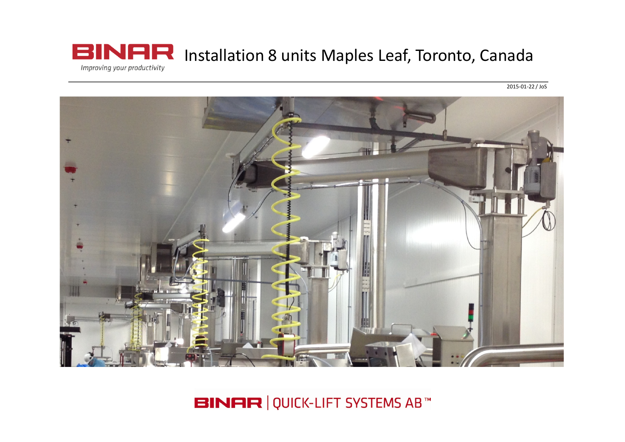

 $\frac{1}{2015 - 01 - 22}$ /JoS



**BINAR | QUICK-LIFT SYSTEMS AB**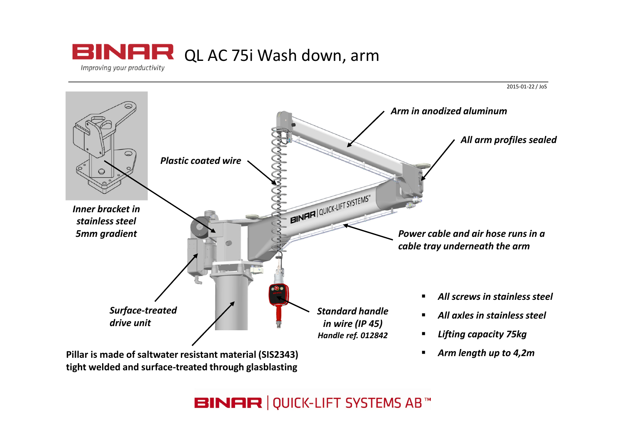



**BINAR | QUICK-LIFT SYSTEMS AB™**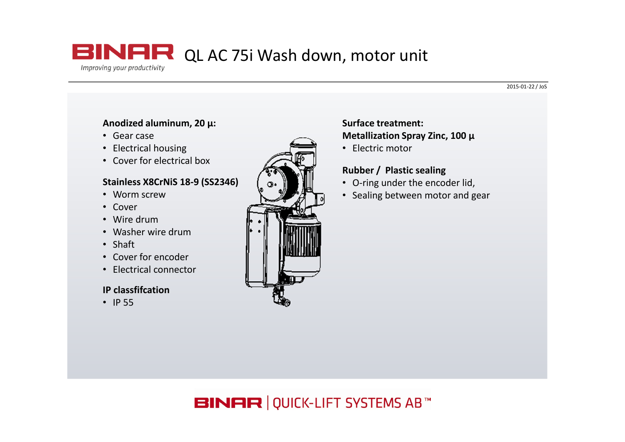### **BINAR** QL AC 75i Wash down, motor unit Improving your productivity

#### 2015-01-22 / JoS

#### Anodized aluminum, 20 μ:

- Gear case
- Electrical housing
- Cover for electrical box

### Stainless X8CrNiS 18-9 (SS2346)

- Worm screw
- Cover
- Wire drum
- Washer wire drum
- Shaft
- Cover for encoder
- Electrical connector

#### IP classfifcation

• IP 55



#### Surface treatment: Metallization Spray Zinc, 100 μ

• Electric motor

#### Rubber / Plastic sealing

- O-ring under the encoder lid,
- Sealing between motor and gear

## **BINAR | QUICK-LIFT SYSTEMS AB™**